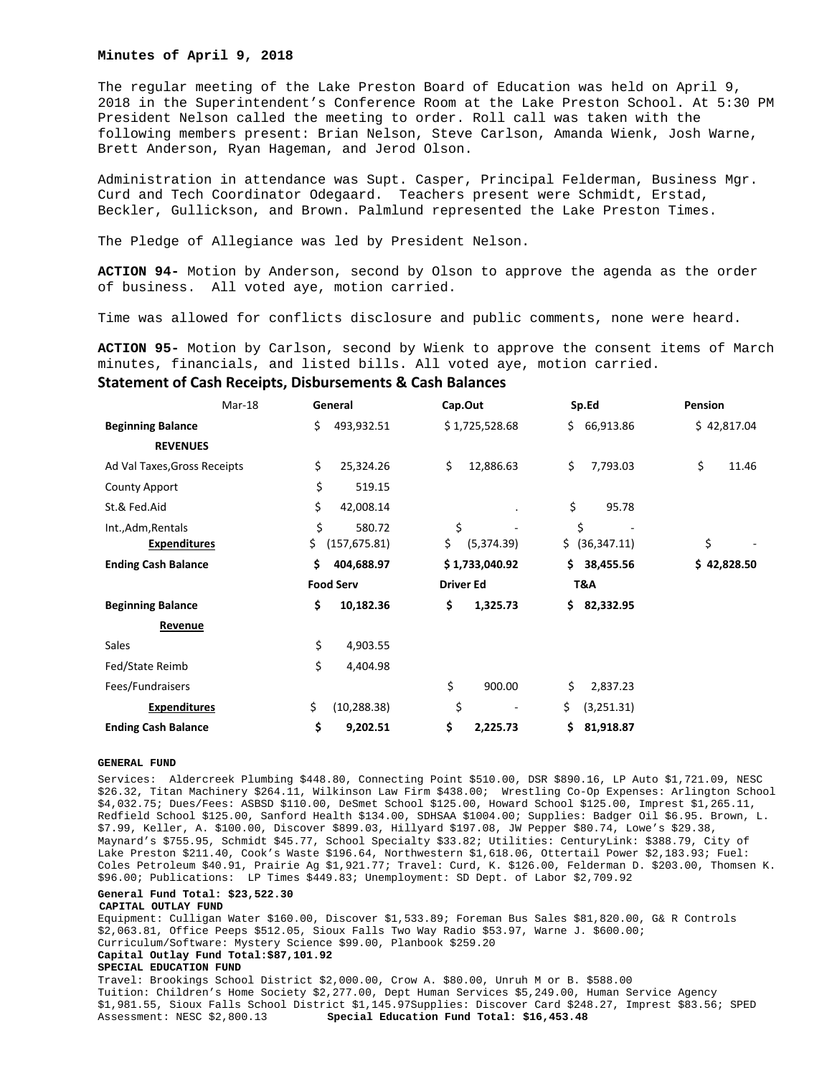## **Minutes of April 9, 2018**

The regular meeting of the Lake Preston Board of Education was held on April 9, 2018 in the Superintendent's Conference Room at the Lake Preston School. At 5:30 PM President Nelson called the meeting to order. Roll call was taken with the following members present: Brian Nelson, Steve Carlson, Amanda Wienk, Josh Warne, Brett Anderson, Ryan Hageman, and Jerod Olson.

Administration in attendance was Supt. Casper, Principal Felderman, Business Mgr. Curd and Tech Coordinator Odegaard. Teachers present were Schmidt, Erstad, Beckler, Gullickson, and Brown. Palmlund represented the Lake Preston Times.

The Pledge of Allegiance was led by President Nelson.

**ACTION 94-** Motion by Anderson, second by Olson to approve the agenda as the order of business. All voted aye, motion carried.

Time was allowed for conflicts disclosure and public comments, none were heard.

**ACTION 95-** Motion by Carlson, second by Wienk to approve the consent items of March minutes, financials, and listed bills. All voted aye, motion carried.

## **Statement of Cash Receipts, Disbursements & Cash Balances**

| Mar-18                       |  | General          |               | Cap.Out          |                | Sp.Ed |                | Pension |             |
|------------------------------|--|------------------|---------------|------------------|----------------|-------|----------------|---------|-------------|
| <b>Beginning Balance</b>     |  | \$.              | 493,932.51    |                  | \$1,725,528.68 | \$.   | 66,913.86      |         | \$42,817.04 |
| <b>REVENUES</b>              |  |                  |               |                  |                |       |                |         |             |
| Ad Val Taxes, Gross Receipts |  | \$               | 25,324.26     | \$               | 12,886.63      | \$    | 7,793.03       | \$      | 11.46       |
| <b>County Apport</b>         |  | \$               | 519.15        |                  |                |       |                |         |             |
| St.& Fed.Aid                 |  | \$               | 42,008.14     |                  |                | \$    | 95.78          |         |             |
| Int., Adm, Rentals           |  | \$               | 580.72        | \$               |                |       | \$             |         |             |
| <b>Expenditures</b>          |  | \$               | (157, 675.81) | \$               | (5,374.39)     |       | \$ (36,347.11) | \$      |             |
| <b>Ending Cash Balance</b>   |  | \$               | 404,688.97    |                  | \$1,733,040.92 | Ś.    | 38,455.56      |         | \$42,828.50 |
|                              |  | <b>Food Serv</b> |               | <b>Driver Ed</b> |                | T&A   |                |         |             |
| <b>Beginning Balance</b>     |  | \$               | 10,182.36     | \$               | 1,325.73       | S.    | 82,332.95      |         |             |
| Revenue                      |  |                  |               |                  |                |       |                |         |             |
| Sales                        |  | \$               | 4,903.55      |                  |                |       |                |         |             |
| Fed/State Reimb              |  | \$               | 4,404.98      |                  |                |       |                |         |             |
| Fees/Fundraisers             |  |                  |               | \$               | 900.00         | \$    | 2,837.23       |         |             |
| <b>Expenditures</b>          |  | \$               | (10, 288.38)  | \$               |                | \$    | (3,251.31)     |         |             |
| <b>Ending Cash Balance</b>   |  | \$               | 9,202.51      | \$               | 2,225.73       | \$    | 81,918.87      |         |             |

### **GENERAL FUND**

Services: Aldercreek Plumbing \$448.80, Connecting Point \$510.00, DSR \$890.16, LP Auto \$1,721.09, NESC \$26.32, Titan Machinery \$264.11, Wilkinson Law Firm \$438.00; Wrestling Co-Op Expenses: Arlington School \$4,032.75; Dues/Fees: ASBSD \$110.00, DeSmet School \$125.00, Howard School \$125.00, Imprest \$1,265.11, Redfield School \$125.00, Sanford Health \$134.00, SDHSAA \$1004.00; Supplies: Badger Oil \$6.95. Brown, L. \$7.99, Keller, A. \$100.00, Discover \$899.03, Hillyard \$197.08, JW Pepper \$80.74, Lowe's \$29.38, Maynard's \$755.95, Schmidt \$45.77, School Specialty \$33.82; Utilities: CenturyLink: \$388.79, City of Lake Preston \$211.40, Cook's Waste \$196.64, Northwestern \$1,618.06, Ottertail Power \$2,183.93; Fuel: Coles Petroleum \$40.91, Prairie Ag \$1,921.77; Travel: Curd, K. \$126.00, Felderman D. \$203.00, Thomsen K. \$96.00; Publications: LP Times \$449.83; Unemployment: SD Dept. of Labor \$2,709.92

# **General Fund Total: \$23,522.30**

**CAPITAL OUTLAY FUND** 

Equipment: Culligan Water \$160.00, Discover \$1,533.89; Foreman Bus Sales \$81,820.00, G& R Controls \$2,063.81, Office Peeps \$512.05, Sioux Falls Two Way Radio \$53.97, Warne J. \$600.00; Curriculum/Software: Mystery Science \$99.00, Planbook \$259.20 **Capital Outlay Fund Total:\$87,101.92** 

#### **SPECIAL EDUCATION FUND**

Travel: Brookings School District \$2,000.00, Crow A. \$80.00, Unruh M or B. \$588.00 Tuition: Children's Home Society \$2,277.00, Dept Human Services \$5,249.00, Human Service Agency \$1,981.55, Sioux Falls School District \$1,145.97Supplies: Discover Card \$248.27, Imprest \$83.56; SPED Assessment: NESC \$2,800.13 **Special Education Fund Total: \$16,453.48**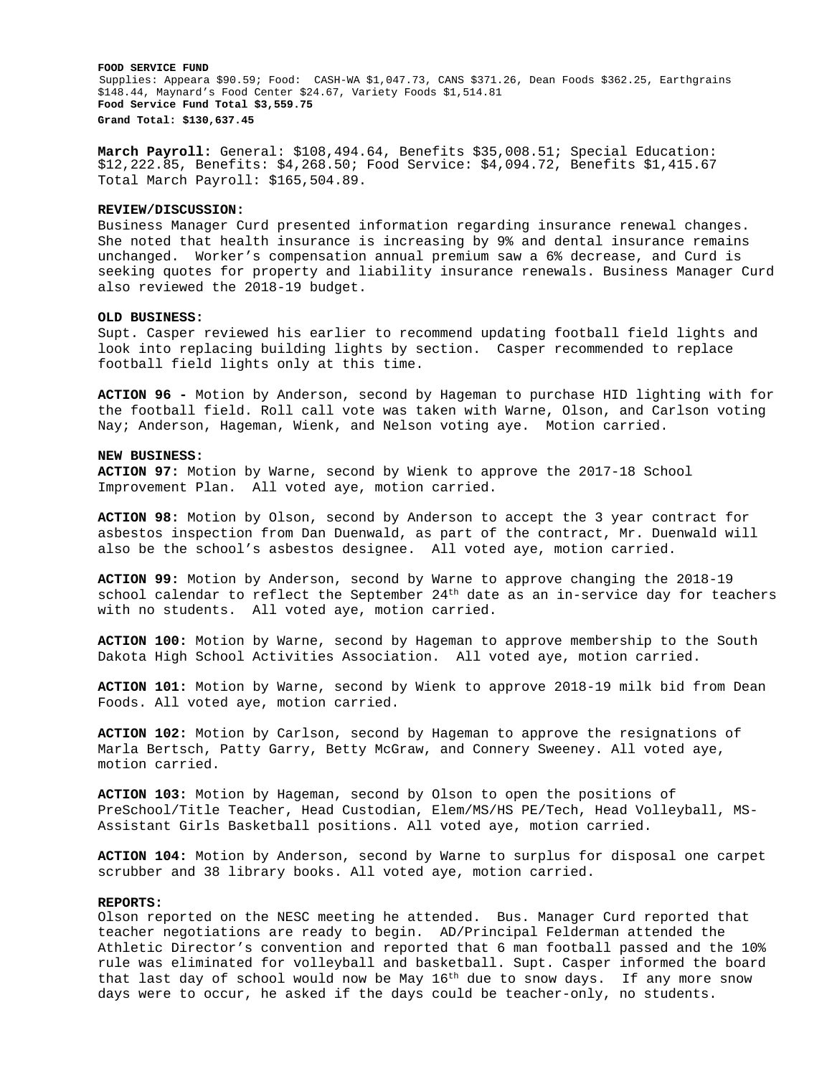**FOOD SERVICE FUND**  Supplies: Appeara \$90.59; Food: CASH-WA \$1,047.73, CANS \$371.26, Dean Foods \$362.25, Earthgrains \$148.44, Maynard's Food Center \$24.67, Variety Foods \$1,514.81 **Food Service Fund Total \$3,559.75 Grand Total: \$130,637.45** 

**March Payroll:** General: \$108,494.64, Benefits \$35,008.51; Special Education: \$12,222.85, Benefits: \$4,268.50; Food Service: \$4,094.72, Benefits \$1,415.67 Total March Payroll: \$165,504.89.

## **REVIEW/DISCUSSION:**

Business Manager Curd presented information regarding insurance renewal changes. She noted that health insurance is increasing by 9% and dental insurance remains unchanged. Worker's compensation annual premium saw a 6% decrease, and Curd is seeking quotes for property and liability insurance renewals. Business Manager Curd also reviewed the 2018-19 budget.

## **OLD BUSINESS:**

Supt. Casper reviewed his earlier to recommend updating football field lights and look into replacing building lights by section. Casper recommended to replace football field lights only at this time.

**ACTION 96 -** Motion by Anderson, second by Hageman to purchase HID lighting with for the football field. Roll call vote was taken with Warne, Olson, and Carlson voting Nay; Anderson, Hageman, Wienk, and Nelson voting aye. Motion carried.

### **NEW BUSINESS:**

**ACTION 97:** Motion by Warne, second by Wienk to approve the 2017-18 School Improvement Plan. All voted aye, motion carried.

**ACTION 98:** Motion by Olson, second by Anderson to accept the 3 year contract for asbestos inspection from Dan Duenwald, as part of the contract, Mr. Duenwald will also be the school's asbestos designee. All voted aye, motion carried.

**ACTION 99:** Motion by Anderson, second by Warne to approve changing the 2018-19 school calendar to reflect the September  $24<sup>th</sup>$  date as an in-service day for teachers with no students. All voted aye, motion carried.

**ACTION 100:** Motion by Warne, second by Hageman to approve membership to the South Dakota High School Activities Association. All voted aye, motion carried.

**ACTION 101:** Motion by Warne, second by Wienk to approve 2018-19 milk bid from Dean Foods. All voted aye, motion carried.

**ACTION 102:** Motion by Carlson, second by Hageman to approve the resignations of Marla Bertsch, Patty Garry, Betty McGraw, and Connery Sweeney. All voted aye, motion carried.

**ACTION 103:** Motion by Hageman, second by Olson to open the positions of PreSchool/Title Teacher, Head Custodian, Elem/MS/HS PE/Tech, Head Volleyball, MS-Assistant Girls Basketball positions. All voted aye, motion carried.

**ACTION 104:** Motion by Anderson, second by Warne to surplus for disposal one carpet scrubber and 38 library books. All voted aye, motion carried.

# **REPORTS:**

Olson reported on the NESC meeting he attended. Bus. Manager Curd reported that teacher negotiations are ready to begin. AD/Principal Felderman attended the Athletic Director's convention and reported that 6 man football passed and the 10% rule was eliminated for volleyball and basketball. Supt. Casper informed the board that last day of school would now be May 16<sup>th</sup> due to snow days. If any more snow days were to occur, he asked if the days could be teacher-only, no students.